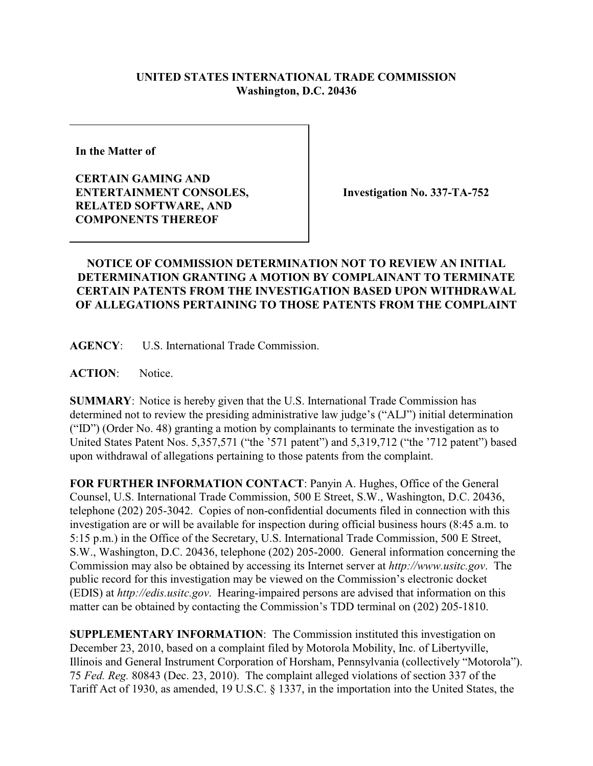## **UNITED STATES INTERNATIONAL TRADE COMMISSION Washington, D.C. 20436**

**In the Matter of** 

**CERTAIN GAMING AND ENTERTAINMENT CONSOLES, RELATED SOFTWARE, AND COMPONENTS THEREOF**

**Investigation No. 337-TA-752**

## **NOTICE OF COMMISSION DETERMINATION NOT TO REVIEW AN INITIAL DETERMINATION GRANTING A MOTION BY COMPLAINANT TO TERMINATE CERTAIN PATENTS FROM THE INVESTIGATION BASED UPON WITHDRAWAL OF ALLEGATIONS PERTAINING TO THOSE PATENTS FROM THE COMPLAINT**

**AGENCY**: U.S. International Trade Commission.

**ACTION**: Notice.

**SUMMARY**: Notice is hereby given that the U.S. International Trade Commission has determined not to review the presiding administrative law judge's ("ALJ") initial determination ("ID") (Order No. 48) granting a motion by complainants to terminate the investigation as to United States Patent Nos. 5,357,571 ("the '571 patent") and 5,319,712 ("the '712 patent") based upon withdrawal of allegations pertaining to those patents from the complaint.

**FOR FURTHER INFORMATION CONTACT**: Panyin A. Hughes, Office of the General Counsel, U.S. International Trade Commission, 500 E Street, S.W., Washington, D.C. 20436, telephone (202) 205-3042. Copies of non-confidential documents filed in connection with this investigation are or will be available for inspection during official business hours (8:45 a.m. to 5:15 p.m.) in the Office of the Secretary, U.S. International Trade Commission, 500 E Street, S.W., Washington, D.C. 20436, telephone (202) 205-2000. General information concerning the Commission may also be obtained by accessing its Internet server at *http://www.usitc.gov*. The public record for this investigation may be viewed on the Commission's electronic docket (EDIS) at *http://edis.usitc.gov*. Hearing-impaired persons are advised that information on this matter can be obtained by contacting the Commission's TDD terminal on (202) 205-1810.

**SUPPLEMENTARY INFORMATION**: The Commission instituted this investigation on December 23, 2010, based on a complaint filed by Motorola Mobility, Inc. of Libertyville, Illinois and General Instrument Corporation of Horsham, Pennsylvania (collectively "Motorola"). 75 *Fed. Reg.* 80843 (Dec. 23, 2010). The complaint alleged violations of section 337 of the Tariff Act of 1930, as amended, 19 U.S.C. § 1337, in the importation into the United States, the